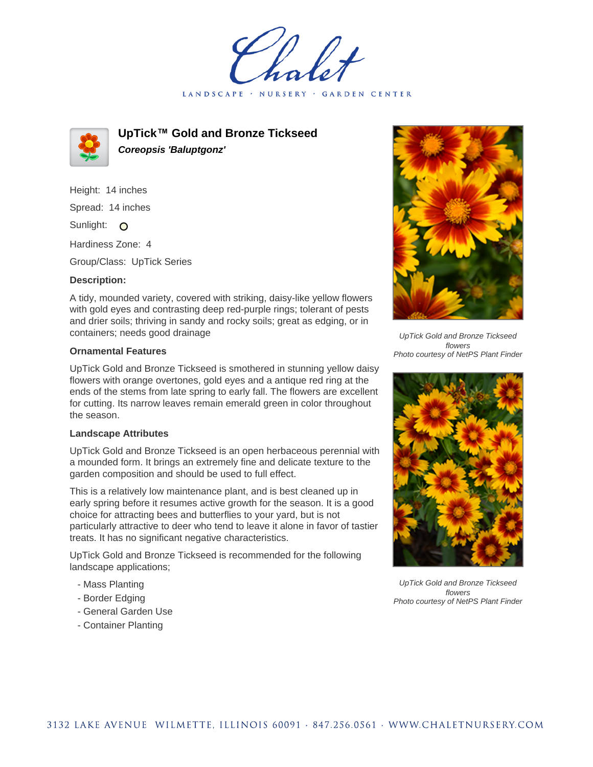LANDSCAPE · NURSERY GARDEN CENTER



**UpTick™ Gold and Bronze Tickseed Coreopsis 'Baluptgonz'**

Height: 14 inches Spread: 14 inches Sunlight: O

Hardiness Zone: 4

Group/Class: UpTick Series

## **Description:**

A tidy, mounded variety, covered with striking, daisy-like yellow flowers with gold eyes and contrasting deep red-purple rings; tolerant of pests and drier soils; thriving in sandy and rocky soils; great as edging, or in containers; needs good drainage

## **Ornamental Features**

UpTick Gold and Bronze Tickseed is smothered in stunning yellow daisy flowers with orange overtones, gold eyes and a antique red ring at the ends of the stems from late spring to early fall. The flowers are excellent for cutting. Its narrow leaves remain emerald green in color throughout the season.

## **Landscape Attributes**

UpTick Gold and Bronze Tickseed is an open herbaceous perennial with a mounded form. It brings an extremely fine and delicate texture to the garden composition and should be used to full effect.

This is a relatively low maintenance plant, and is best cleaned up in early spring before it resumes active growth for the season. It is a good choice for attracting bees and butterflies to your yard, but is not particularly attractive to deer who tend to leave it alone in favor of tastier treats. It has no significant negative characteristics.

UpTick Gold and Bronze Tickseed is recommended for the following landscape applications;

- Mass Planting
- Border Edging
- General Garden Use
- Container Planting



UpTick Gold and Bronze Tickseed flowers Photo courtesy of NetPS Plant Finder



UpTick Gold and Bronze Tickseed flowers Photo courtesy of NetPS Plant Finder